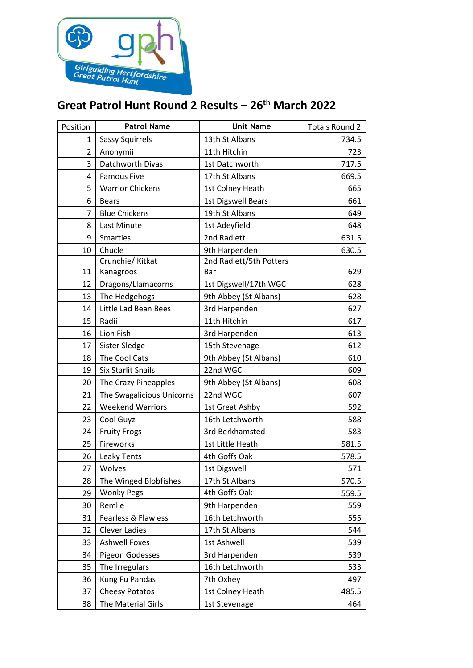

## **Great Patrol Hunt Round 2 Results – 26th March 2022**

| Position       | <b>Patrol Name</b>        | <b>Unit Name</b>          | <b>Totals Round 2</b> |
|----------------|---------------------------|---------------------------|-----------------------|
| 1              | <b>Sassy Squirrels</b>    | 13th St Albans            | 734.5                 |
| $\overline{2}$ | Anonymii                  | 11th Hitchin              | 723                   |
| 3              | Datchworth Divas          | 1st Datchworth            | 717.5                 |
| 4              | <b>Famous Five</b>        | 17th St Albans            | 669.5                 |
| 5              | <b>Warrior Chickens</b>   | 1st Colney Heath          | 665                   |
| 6              | <b>Bears</b>              | <b>1st Digswell Bears</b> | 661                   |
| 7              | <b>Blue Chickens</b>      | 19th St Albans            | 649                   |
| 8              | Last Minute               | 1st Adeyfield             | 648                   |
| 9              | <b>Smarties</b>           | 2nd Radlett               | 631.5                 |
| 10             | Chucle                    | 9th Harpenden             | 630.5                 |
|                | Crunchie/ Kitkat          | 2nd Radlett/5th Potters   |                       |
| 11             | Kanagroos                 | Bar                       | 629                   |
| 12             | Dragons/Llamacorns        | 1st Digswell/17th WGC     | 628                   |
| 13             | The Hedgehogs             | 9th Abbey (St Albans)     | 628                   |
| 14             | Little Lad Bean Bees      | 3rd Harpenden             | 627                   |
| 15             | Radii                     | 11th Hitchin              | 617                   |
| 16             | Lion Fish                 | 3rd Harpenden             | 613                   |
| 17             | Sister Sledge             | 15th Stevenage            | 612                   |
| 18             | The Cool Cats             | 9th Abbey (St Albans)     | 610                   |
| 19             | Six Starlit Snails        | 22nd WGC                  | 609                   |
| 20             | The Crazy Pineapples      | 9th Abbey (St Albans)     | 608                   |
| 21             | The Swagalicious Unicorns | 22nd WGC                  | 607                   |
| 22             | <b>Weekend Warriors</b>   | 1st Great Ashby           | 592                   |
| 23             | Cool Guyz                 | 16th Letchworth           | 588                   |
| 24             | <b>Fruity Frogs</b>       | 3rd Berkhamsted           | 583                   |
| 25             | Fireworks                 | 1st Little Heath          | 581.5                 |
| 26             | Leaky Tents               | 4th Goffs Oak             | 578.5                 |
| 27             | Wolves                    | 1st Digswell              | 571                   |
| 28             | The Winged Blobfishes     | 17th St Albans            | 570.5                 |
| 29             | <b>Wonky Pegs</b>         | 4th Goffs Oak             | 559.5                 |
| 30             | Remlie                    | 9th Harpenden             | 559                   |
| 31             | Fearless & Flawless       | 16th Letchworth           | 555                   |
| 32             | <b>Clever Ladies</b>      | 17th St Albans            | 544                   |
| 33             | <b>Ashwell Foxes</b>      | 1st Ashwell               | 539                   |
| 34             | Pigeon Godesses           | 3rd Harpenden             | 539                   |
| 35             | The Irregulars            | 16th Letchworth           | 533                   |
| 36             | Kung Fu Pandas            | 7th Oxhey                 | 497                   |
| 37             | <b>Cheesy Potatos</b>     | 1st Colney Heath          | 485.5                 |
| 38             | The Material Girls        | 1st Stevenage             | 464                   |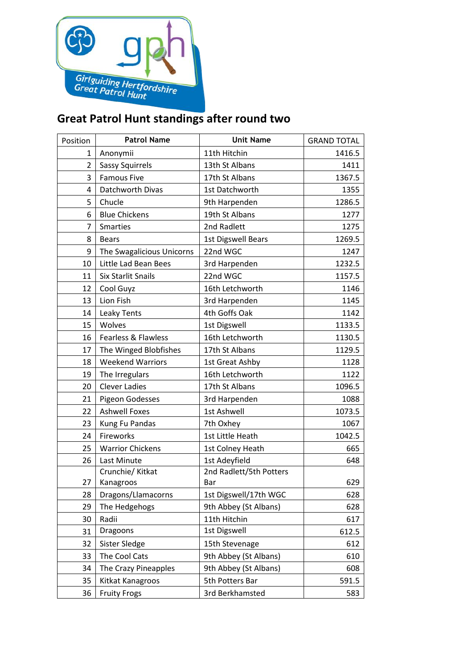

## **Great Patrol Hunt standings after round two**

| Position       | <b>Patrol Name</b>        | <b>Unit Name</b>          | <b>GRAND TOTAL</b> |
|----------------|---------------------------|---------------------------|--------------------|
| $\mathbf{1}$   | Anonymii                  | 11th Hitchin              | 1416.5             |
| $\overline{2}$ | <b>Sassy Squirrels</b>    | 13th St Albans            | 1411               |
| 3              | <b>Famous Five</b>        | 17th St Albans            | 1367.5             |
| 4              | Datchworth Divas          | 1st Datchworth            | 1355               |
| 5              | Chucle                    | 9th Harpenden             | 1286.5             |
| 6              | <b>Blue Chickens</b>      | 19th St Albans            | 1277               |
| $\overline{7}$ | <b>Smarties</b>           | 2nd Radlett               | 1275               |
| 8              | <b>Bears</b>              | <b>1st Digswell Bears</b> | 1269.5             |
| 9              | The Swagalicious Unicorns | 22nd WGC                  | 1247               |
| 10             | Little Lad Bean Bees      | 3rd Harpenden             | 1232.5             |
| 11             | <b>Six Starlit Snails</b> | 22nd WGC                  | 1157.5             |
| 12             | Cool Guyz                 | 16th Letchworth           | 1146               |
| 13             | Lion Fish                 | 3rd Harpenden             | 1145               |
| 14             | Leaky Tents               | 4th Goffs Oak             | 1142               |
| 15             | Wolves                    | 1st Digswell              | 1133.5             |
| 16             | Fearless & Flawless       | 16th Letchworth           | 1130.5             |
| 17             | The Winged Blobfishes     | 17th St Albans            | 1129.5             |
| 18             | <b>Weekend Warriors</b>   | 1st Great Ashby           | 1128               |
| 19             | The Irregulars            | 16th Letchworth           | 1122               |
| 20             | <b>Clever Ladies</b>      | 17th St Albans            | 1096.5             |
| 21             | Pigeon Godesses           | 3rd Harpenden             | 1088               |
| 22             | <b>Ashwell Foxes</b>      | 1st Ashwell               | 1073.5             |
| 23             | Kung Fu Pandas            | 7th Oxhey                 | 1067               |
| 24             | Fireworks                 | 1st Little Heath          | 1042.5             |
| 25             | <b>Warrior Chickens</b>   | 1st Colney Heath          | 665                |
| 26             | Last Minute               | 1st Adeyfield             | 648                |
|                | Crunchie/ Kitkat          | 2nd Radlett/5th Potters   |                    |
| 27             | Kanagroos                 | Bar                       | 629                |
| 28             | Dragons/Llamacorns        | 1st Digswell/17th WGC     | 628                |
| 29             | The Hedgehogs             | 9th Abbey (St Albans)     | 628                |
| 30             | Radii                     | 11th Hitchin              | 617                |
| 31             | Dragoons                  | 1st Digswell              | 612.5              |
| 32             | Sister Sledge             | 15th Stevenage            | 612                |
| 33             | The Cool Cats             | 9th Abbey (St Albans)     | 610                |
| 34             | The Crazy Pineapples      | 9th Abbey (St Albans)     | 608                |
| 35             | Kitkat Kanagroos          | 5th Potters Bar           | 591.5              |
| 36             | <b>Fruity Frogs</b>       | 3rd Berkhamsted           | 583                |